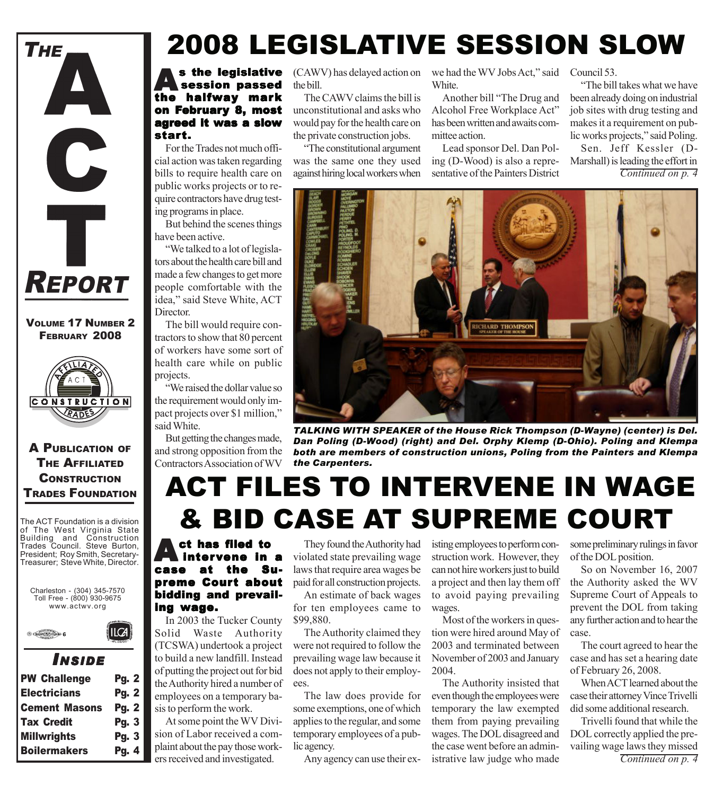

#### VOLUME 17 NUMBER 2 FEBRUARY 2008



#### A PUBLICATION OF THE AFFILIATED **CONSTRUCTION** TRADES FOUNDATION

The ACT Foundation is a division of The West Virginia State Building and Construction Trades Council. Steve Burton, President; Roy Smith, Secretary-Treasurer; Steve White, Director.

Charleston - (304) 345-7570 Toll Free - (800) 930-9675 www.actwv.org

ILCA



### *I NSIDE*

| <b>PW Challenge</b>  | <b>Pg. 2</b> |
|----------------------|--------------|
| <b>Electricians</b>  | <b>Pg. 2</b> |
| <b>Cement Masons</b> | <b>Pg. 2</b> |
| <b>Tax Credit</b>    | Pg. 3        |
| <b>Millwrights</b>   | Pg. 3        |
| <b>Boilermakers</b>  | Pg. 4        |

# 2008 LEGISLATIVE SESSION SLOW

#### **As the legislative<br>session passed<br>the holfway mark** the halfway mark on February 8, most agreed it was a slow start.

For the Trades not much official action was taken regarding bills to require health care on public works projects or to require contractors have drug testing programs in place.

But behind the scenes things have been active.

"We talked to a lot of legislators about the health care bill and made a few changes to get more people comfortable with the idea," said Steve White, ACT Director.

The bill would require contractors to show that 80 percent of workers have some sort of health care while on public projects.

"We raised the dollar value so the requirement would only impact projects over \$1 million," said White.

But getting the changes made, and strong opposition from the Contractors Association of WV the bill.

The CAWV claims the bill is unconstitutional and asks who would pay for the health care on the private construction jobs.

"The constitutional argument was the same one they used against hiring local workers when

(CAWV) has delayed action on we had the WV Jobs Act," said Council 53. White.

> Another bill "The Drug and Alcohol Free Workplace Act" has been written and awaits committee action.

Lead sponsor Del. Dan Poling (D-Wood) is also a representative of the Painters District

"The bill takes what we have been already doing on industrial job sites with drug testing and makes it a requirement on public works projects," said Poling.

*Continued on p. 4* Sen. Jeff Kessler (D-Marshall) is leading the effort in



*TALKING WITH SPEAKER of the House Rick Thompson (D-Wayne) (center) is Del. Dan Poling (D-Wood) (right) and Del. Orphy Klemp (D-Ohio). Poling and Klempa both are members of construction unions, Poling from the Painters and Klempa the Carpenters.*

### ACT FILES TO INTERVENE IN WAGE & BID CASE AT SUPREME COURT

ct has filed to intervene in a case at the Su- case at the Supreme Court about bidding and prevail- bidding and prevailing wage.

In 2003 the Tucker County Solid Waste Authority (TCSWA) undertook a project to build a new landfill. Instead of putting the project out for bid the Authority hired a number of employees on a temporary basis to perform the work.

At some point the WV Division of Labor received a complaint about the pay those workers received and investigated.

They found the Authority had violated state prevailing wage laws that require area wages be paid for all construction projects.

An estimate of back wages for ten employees came to \$99,880.

The Authority claimed they were not required to follow the prevailing wage law because it does not apply to their employees.

The law does provide for some exemptions, one of which applies to the regular, and some temporary employees of a public agency.

Any agency can use their ex-

isting employees to perform construction work. However, they can not hire workers just to build a project and then lay them off to avoid paying prevailing wages.

Most of the workers in question were hired around May of 2003 and terminated between November of 2003 and January 2004.

The Authority insisted that even though the employees were temporary the law exempted them from paying prevailing wages. The DOL disagreed and the case went before an administrative law judge who made

some preliminary rulings in favor of the DOL position.

So on November 16, 2007 the Authority asked the WV Supreme Court of Appeals to prevent the DOL from taking any further action and to hear the case.

The court agreed to hear the case and has set a hearing date of February 26, 2008.

When ACT learned about the case their attorney Vince Trivelli did some additional research.

Trivelli found that while the DOL correctly applied the prevailing wage laws they missed *Continued on p. 4*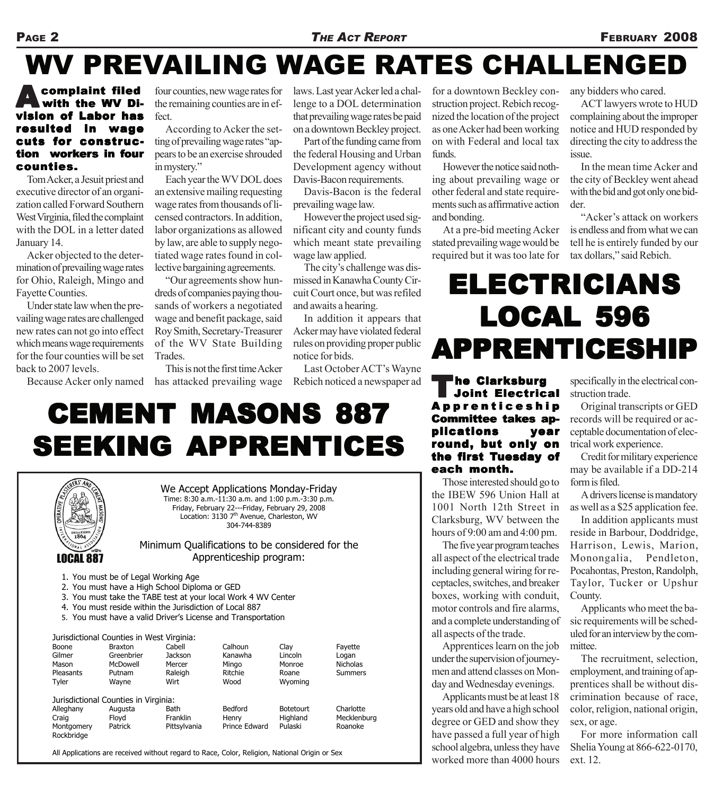# WV PREVAILING WAGE RATES CHALLENGED

#### complaint filed with the WV Division of Labor has resulted in wage cuts for construction workers in four counties.

Tom Acker, a Jesuit priest and executive director of an organization called Forward Southern West Virginia, filed the complaint with the DOL in a letter dated January 14.

Acker objected to the determination of prevailing wage rates for Ohio, Raleigh, Mingo and Fayette Counties.

Under state law when the prevailing wage rates are challenged new rates can not go into effect which means wage requirements for the four counties will be set back to 2007 levels.

four counties, new wage rates for the remaining counties are in effect.

According to Acker the setting of prevailing wage rates "appears to be an exercise shrouded in mystery."

Each year the WV DOL does an extensive mailing requesting wage rates from thousands of licensed contractors. In addition, labor organizations as allowed by law, are able to supply negotiated wage rates found in collective bargaining agreements.

"Our agreements show hundreds of companies paying thousands of workers a negotiated wage and benefit package, said Roy Smith, Secretary-Treasurer of the WV State Building Trades.

Because Acker only named has attacked prevailing wage This is not the first time Acker laws. Last year Acker led a challenge to a DOL determination that prevailing wage rates be paid on a downtown Beckley project.

Part of the funding came from the federal Housing and Urban Development agency without Davis-Bacon requirements.

Davis-Bacon is the federal prevailing wage law.

However the project used significant city and county funds which meant state prevailing wage law applied.

The city's challenge was dismissed in Kanawha County Circuit Court once, but was refiled and awaits a hearing.

In addition it appears that Acker may have violated federal rules on providing proper public notice for bids.

Last October ACT's Wayne Rebich noticed a newspaper ad

for a downtown Beckley construction project. Rebich recognized the location of the project as one Acker had been working on with Federal and local tax funds.

However the notice said nothing about prevailing wage or other federal and state requirements such as affirmative action and bonding.

At a pre-bid meeting Acker stated prevailing wage would be required but it was too late for

any bidders who cared.

ACT lawyers wrote to HUD complaining about the improper notice and HUD responded by directing the city to address the issue.

In the mean time Acker and the city of Beckley went ahead with the bid and got only one bidder.

"Acker's attack on workers is endless and from what we can tell he is entirely funded by our tax dollars," said Rebich.

### **ELECTRICIANS** LOCAL 596 **APPRENTICESHIP**

#### <sup>T</sup>he Clarksburg Joint Electrical Joint Electrical Apprenticeship Committee takes applications year round, but only on the first Tuesday of each month.

Those interested should go to the IBEW 596 Union Hall at 1001 North 12th Street in Clarksburg, WV between the hours of 9:00 am and 4:00 pm.

The five year program teaches all aspect of the electrical trade including general wiring for receptacles, switches, and breaker boxes, working with conduit, motor controls and fire alarms, and a complete understanding of all aspects of the trade.

Apprentices learn on the job under the supervision of journeymen and attend classes on Monday and Wednesday evenings.

Applicants must be at least 18 years old and have a high school degree or GED and show they have passed a full year of high school algebra, unless they have worked more than 4000 hours

specifically in the electrical construction trade.

Original transcripts or GED records will be required or acceptable documentation of electrical work experience.

Credit for military experience may be available if a DD-214 form is filed.

A drivers license is mandatory as well as a \$25 application fee.

In addition applicants must reside in Barbour, Doddridge, Harrison, Lewis, Marion, Monongalia, Pendleton, Pocahontas, Preston, Randolph, Taylor, Tucker or Upshur County.

Applicants who meet the basic requirements will be scheduled for an interview by the committee.

The recruitment, selection, employment, and training of apprentices shall be without discrimination because of race, color, religion, national origin, sex, or age.

For more information call Shelia Young at 866-622-0170, ext. 12.

# **CEMENT MASONS 887 SEEKING APPRENTICES**



We Accept Applications Monday-Friday Time: 8:30 a.m.-11:30 a.m. and 1:00 p.m.-3:30 p.m. Friday, February 22---Friday, February 29, 2008 Location: 3130 7<sup>th</sup> Avenue, Charleston, WV 304-744-8389

Minimum Qualifications to be considered for the Apprenticeship program:

- 1. You must be of Legal Working Age
- 2. You must have a High School Diploma or GED
- 3. You must take the TABE test at your local Work 4 WV Center
- 4. You must reside within the Jurisdiction of Local 887
- 5. You must have a valid Driver's License and Transportation

| Jurisdictional Counties in West Virginia: |                |                |               |                  |                 |
|-------------------------------------------|----------------|----------------|---------------|------------------|-----------------|
| Boone                                     | <b>Braxton</b> | Cabell         | Calhoun       | Clav             | Fayette         |
| Gilmer                                    | Greenbrier     | <b>Jackson</b> | Kanawha       | Lincoln          | Logan           |
| Mason                                     | McDowell       | Mercer         | Mingo         | Monroe           | <b>Nicholas</b> |
| Pleasants                                 | Putnam         | Raleigh        | Ritchie       | Roane            | <b>Summers</b>  |
| Tyler                                     | Wayne          | Wirt           | Wood          | Wyoming          |                 |
| Jurisdictional Counties in Virginia:      |                |                |               |                  |                 |
| Alleghany                                 | Augusta        | <b>Bath</b>    | Bedford       | <b>Botetourt</b> | Charlotte       |
| Craig                                     | Flovd          | Franklin       | Henry         | Highland         | Mecklenburg     |
| Montgomery<br>Rockbridge                  | Patrick        | Pittsylvania   | Prince Edward | Pulaski          | Roanoke         |

All Applications are received without regard to Race, Color, Religion, National Origin or Sex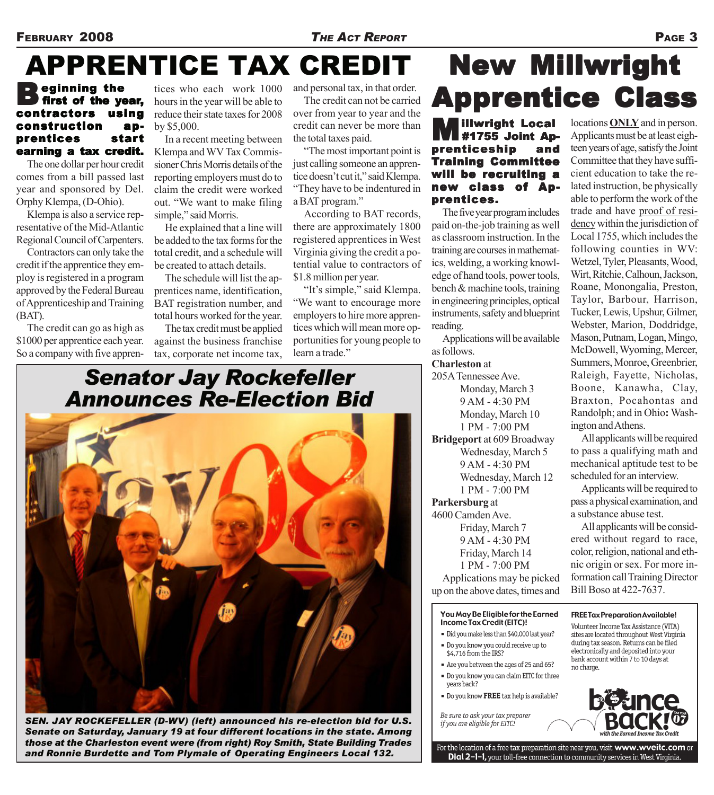### APPRENTICE TAX CREDIT

#### ) eginning the<br>) first of the <mark>year,</mark><br>ntractors using first of the year, contractors construction apprentices start earning a tax credit.

The one dollar per hour credit comes from a bill passed last year and sponsored by Del. Orphy Klempa, (D-Ohio).

Klempa is also a service representative of the Mid-Atlantic Regional Council of Carpenters.

Contractors can only take the credit if the apprentice they employ is registered in a program approved by the Federal Bureau of Apprenticeship and Training (BAT).

The credit can go as high as \$1000 per apprentice each year. So a company with five apprentices who each work 1000 hours in the year will be able to reduce their state taxes for 2008 by \$5,000.

In a recent meeting between Klempa and WV Tax Commissioner Chris Morris details of the reporting employers must do to claim the credit were worked out. "We want to make filing simple," said Morris.

He explained that a line will be added to the tax forms for the total credit, and a schedule will be created to attach details.

The schedule will list the apprentices name, identification, BAT registration number, and total hours worked for the year.

The tax credit must be applied against the business franchise tax, corporate net income tax, and personal tax, in that order. The credit can not be carried

over from year to year and the credit can never be more than the total taxes paid.

"The most important point is just calling someone an apprentice doesn't cut it," said Klempa. "They have to be indentured in a BAT program."

According to BAT records, there are approximately 1800 registered apprentices in West Virginia giving the credit a potential value to contractors of \$1.8 million per year.

"It's simple," said Klempa. "We want to encourage more employers to hire more apprentices which will mean more opportunities for young people to learn a trade."

#### **Apprentice Class Millwright Local<br>#1755 Joint Ap-**<br>renticeship and #1755 Joint Apprenticeship Training Committee will be recruiting a new class of Apprentices.

**New Millwright** 

The five year program includes paid on-the-job training as well as classroom instruction. In the training are courses in mathematics, welding, a working knowledge of hand tools, power tools, bench & machine tools, training in engineering principles, optical instruments, safety and blueprint reading.

Applications will be available as follows.

#### **Charleston** at

205A Tennessee Ave. Monday, March 3 9 AM - 4:30 PM Monday, March 10 1 PM - 7:00 PM **Bridgeport** at 609 Broadway Wednesday, March 5 9 AM - 4:30 PM Wednesday, March 12 1 PM - 7:00 PM

#### **Parkersburg** at

4600 Camden Ave. Friday, March 7 9 AM - 4:30 PM Friday, March 14 1 PM - 7:00 PM Applications may be picked up on the above dates, times and

#### You May Be Eligible for the Earned **Income Tax Credit (EITC)!**

- · Did you make less than \$40,000 last year?
- Do you know you could receive up to \$4,716 from the IRS?
- Are you between the ages of 25 and 65?
- . Do you know you can claim EITC for three years back?
- . Do you know FREE tax help is available?

Be sure to ask your tax preparer if you are eligible for EITC!

locations **ONLY** and in person. Applicants must be at least eighteen years of age, satisfy the Joint Committee that they have sufficient education to take the related instruction, be physically able to perform the work of the trade and have proof of residency within the jurisdiction of Local 1755, which includes the following counties in WV: Wetzel, Tyler, Pleasants, Wood, Wirt, Ritchie, Calhoun, Jackson, Roane, Monongalia, Preston, Taylor, Barbour, Harrison, Tucker, Lewis, Upshur, Gilmer, Webster, Marion, Doddridge, Mason, Putnam, Logan, Mingo, McDowell, Wyoming, Mercer, Summers, Monroe, Greenbrier, Raleigh, Fayette, Nicholas, Boone, Kanawha, Clay, Braxton, Pocahontas and Randolph; and in Ohio**:** Washington and Athens.

All applicants will be required to pass a qualifying math and mechanical aptitude test to be scheduled for an interview.

Applicants will be required to pass a physical examination, and a substance abuse test.

All applicants will be considered without regard to race, color, religion, national and ethnic origin or sex. For more information call Training Director Bill Boso at 422-7637.

#### **FREE Tax Preparation Available!** Volunteer Income Tax Assistance (VITA) sites are located throughout West Virginia

during tax season. Returns can be filed electronically and deposited into your bank account within 7 to 10 days at no charge.



For the location of a free tax preparation site near you, visit www.wveitc.com or Dial 2-1-1, your toll-free connection to community services in West Virginia

*Senator Jay Rockefeller Announces Re-Election Bid*



*SEN. JAY ROCKEFELLER (D-WV) (left) announced his re-election bid for U.S. Senate on Saturday, January 19 at four different locations in the state. Among those at the Charleston event were (from right) Roy Smith, State Building Trades and Ronnie Burdette and Tom Plymale of Operating Engineers Local 132.*